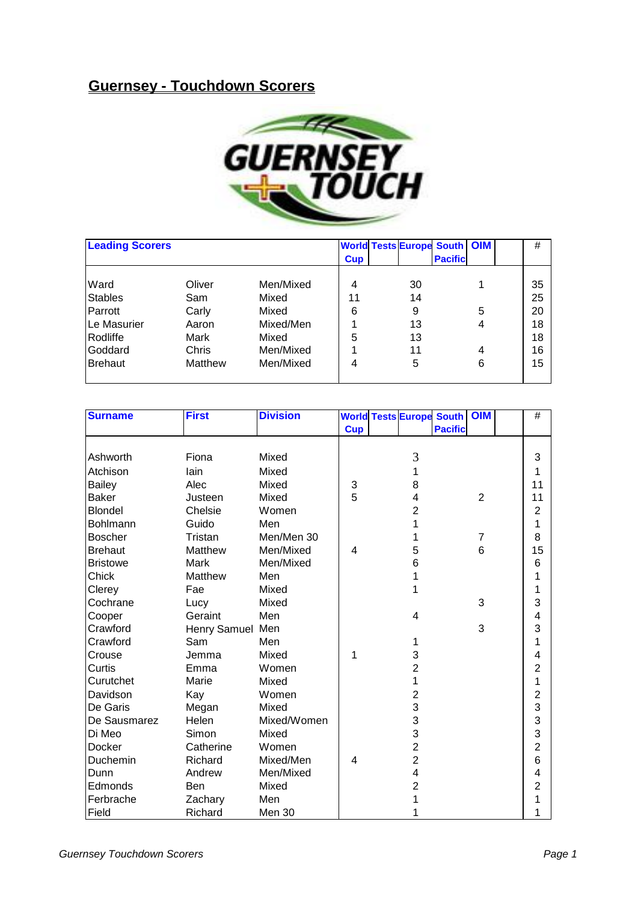## **Guernsey - Touchdown Scorers**



| <b>Leading Scorers</b> |         |           | <b>Cup</b> | <b>World Tests Europe South OIM</b> | <b>Pacific</b> |   | #  |
|------------------------|---------|-----------|------------|-------------------------------------|----------------|---|----|
|                        |         |           |            |                                     |                |   |    |
| Ward                   | Oliver  | Men/Mixed | 4          | 30                                  |                |   | 35 |
| <b>Stables</b>         | Sam     | Mixed     | 11         | 14                                  |                |   | 25 |
| Parrott                | Carly   | Mixed     | 6          | 9                                   |                | 5 | 20 |
| Le Masurier            | Aaron   | Mixed/Men |            | 13                                  |                | 4 | 18 |
| Rodliffe               | Mark    | Mixed     | 5          | 13                                  |                |   | 18 |
| Goddard                | Chris   | Men/Mixed |            | 11                                  |                | 4 | 16 |
| Brehaut                | Matthew | Men/Mixed | 4          | 5                                   |                | 6 | 15 |
|                        |         |           |            |                                     |                |   |    |

| <b>Surname</b>  | <b>First</b>     | <b>Division</b> |            |                | <b>World Tests Europe South   OIM</b> |                | $\#$           |
|-----------------|------------------|-----------------|------------|----------------|---------------------------------------|----------------|----------------|
|                 |                  |                 | <b>Cup</b> |                | <b>Pacific</b>                        |                |                |
|                 |                  |                 |            |                |                                       |                |                |
| Ashworth        | Fiona            | Mixed           |            | 3              |                                       |                | 3              |
| Atchison        | lain             | Mixed           |            | 1              |                                       |                | 1              |
| <b>Bailey</b>   | Alec             | Mixed           | 3          | 8              |                                       |                | 11             |
| <b>Baker</b>    | Justeen          | Mixed           | 5          | 4              |                                       | $\overline{2}$ | 11             |
| <b>Blondel</b>  | Chelsie          | Women           |            | $\overline{2}$ |                                       |                | $\overline{2}$ |
| Bohlmann        | Guido            | Men             |            |                |                                       |                | 1              |
| <b>Boscher</b>  | Tristan          | Men/Men 30      |            |                |                                       | $\overline{7}$ | 8              |
| <b>Brehaut</b>  | Matthew          | Men/Mixed       | 4          | 5              |                                       | 6              | 15             |
| <b>Bristowe</b> | Mark             | Men/Mixed       |            | 6              |                                       |                | 6              |
| Chick           | Matthew          | Men             |            |                |                                       |                | 1              |
| Clerey          | Fae              | Mixed           |            | 1              |                                       |                | 1              |
| Cochrane        | Lucy             | Mixed           |            |                |                                       | 3              | 3              |
| Cooper          | Geraint          | Men             |            | 4              |                                       |                | 4              |
| Crawford        | Henry Samuel Men |                 |            |                |                                       | 3              | 3              |
| Crawford        | Sam              | Men             |            | 1              |                                       |                | 1              |
| Crouse          | Jemma            | Mixed           | 1          | 3              |                                       |                | 4              |
| Curtis          | Emma             | Women           |            | 2              |                                       |                | 2              |
| Curutchet       | Marie            | Mixed           |            | 1              |                                       |                | 1              |
| Davidson        | Kay              | Women           |            | $\overline{2}$ |                                       |                | $\overline{2}$ |
| De Garis        | Megan            | Mixed           |            | 3              |                                       |                | 3              |
| De Sausmarez    | Helen            | Mixed/Women     |            | 3              |                                       |                | 3              |
| Di Meo          | Simon            | Mixed           |            | 3              |                                       |                | 3              |
| Docker          | Catherine        | Women           |            | $\overline{2}$ |                                       |                | $\overline{2}$ |
| Duchemin        | Richard          | Mixed/Men       | 4          | $\overline{2}$ |                                       |                | 6              |
| Dunn            | Andrew           | Men/Mixed       |            | 4              |                                       |                | 4              |
| Edmonds         | Ben              | Mixed           |            | 2              |                                       |                | $\overline{2}$ |
| Ferbrache       | Zachary          | Men             |            |                |                                       |                | 1              |
| Field           | Richard          | Men 30          |            |                |                                       |                | 1              |